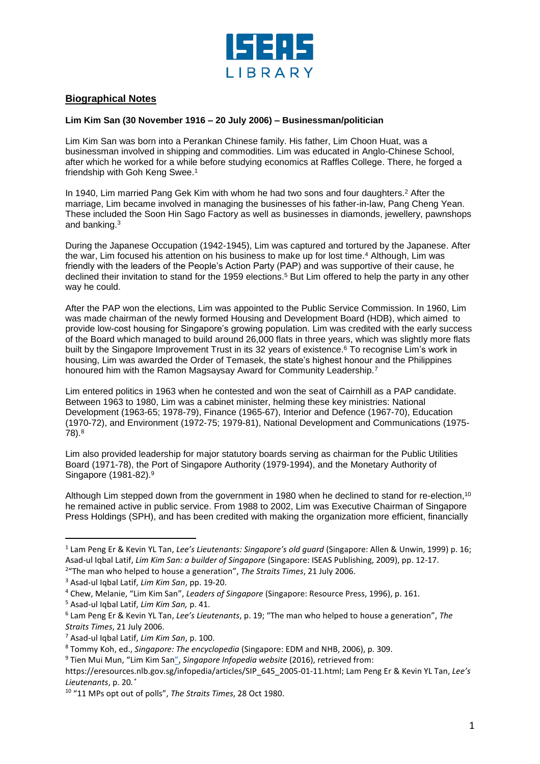

## **Biographical Notes**

## **Lim Kim San (30 November 1916 – 20 July 2006) – Businessman/politician**

Lim Kim San was born into a Perankan Chinese family. His father, Lim Choon Huat, was a businessman involved in shipping and commodities. Lim was educated in Anglo-Chinese School, after which he worked for a while before studying economics at Raffles College. There, he forged a friendship with Goh Keng Swee.<sup>1</sup>

In 1940, Lim married Pang Gek Kim with whom he had two sons and four daughters.<sup>2</sup> After the marriage, Lim became involved in managing the businesses of his father-in-law, Pang Cheng Yean. These included the Soon Hin Sago Factory as well as businesses in diamonds, jewellery, pawnshops and banking.<sup>3</sup>

During the Japanese Occupation (1942-1945), Lim was captured and tortured by the Japanese. After the war, Lim focused his attention on his business to make up for lost time.<sup>4</sup> Although, Lim was friendly with the leaders of the People's Action Party (PAP) and was supportive of their cause, he declined their invitation to stand for the 1959 elections.<sup>5</sup> But Lim offered to help the party in any other way he could.

After the PAP won the elections, Lim was appointed to the Public Service Commission. In 1960, Lim was made chairman of the newly formed Housing and Development Board (HDB), which aimed to provide low-cost housing for Singapore's growing population. Lim was credited with the early success of the Board which managed to build around 26,000 flats in three years, which was slightly more flats built by the Singapore Improvement Trust in its 32 years of existence.<sup>6</sup> To recognise Lim's work in housing, Lim was awarded the Order of Temasek, the state's highest honour and the Philippines honoured him with the Ramon Magsaysay Award for Community Leadership.<sup>7</sup>

Lim entered politics in 1963 when he contested and won the seat of Cairnhill as a PAP candidate. Between 1963 to 1980, Lim was a cabinet minister, helming these key ministries: National Development (1963-65; 1978-79), Finance (1965-67), Interior and Defence (1967-70), Education (1970-72), and Environment (1972-75; 1979-81), National Development and Communications (1975- 78).<sup>8</sup>

Lim also provided leadership for major statutory boards serving as chairman for the Public Utilities Board (1971-78), the Port of Singapore Authority (1979-1994), and the Monetary Authority of Singapore (1981-82).<sup>9</sup>

Although Lim stepped down from the government in 1980 when he declined to stand for re-election, 10 he remained active in public service. From 1988 to 2002, Lim was Executive Chairman of Singapore Press Holdings (SPH), and has been credited with making the organization more efficient, financially

l

<sup>1</sup> Lam Peng Er & Kevin YL Tan, *Lee's Lieutenants: Singapore's old guard* (Singapore: Allen & Unwin, 1999) p. 16; Asad-ul Iqbal Latif, *Lim Kim San: a builder of Singapore* (Singapore: ISEAS Publishing, 2009), pp. 12-17. 2 "The man who helped to house a generation", *The Straits Times*, 21 July 2006.

<sup>3</sup> Asad-ul Iqbal Latif, *Lim Kim San*, pp. 19-20.

<sup>4</sup> Chew, Melanie, "Lim Kim San", *Leaders of Singapore* (Singapore: Resource Press, 1996), p. 161.

<sup>5</sup> Asad-ul Iqbal Latif, *Lim Kim San,* p. 41.

<sup>6</sup> Lam Peng Er & Kevin YL Tan, *Lee's Lieutenants*, p. 19; "The man who helped to house a generation", *The Straits Times*, 21 July 2006.

<sup>7</sup> Asad-ul Iqbal Latif, *Lim Kim San*, p. 100.

<sup>8</sup> Tommy Koh, ed., *Singapore: The encyclopedia* (Singapore: EDM and NHB, 2006), p. 309.

<sup>9</sup> Tien Mui Mun, "Lim Kim San", *Singapore Infopedia website* (2016), retrieved from:

https://eresources.nlb.gov.sg/infopedia/articles/SIP\_645\_2005-01-11.html; Lam Peng Er & Kevin YL Tan, *Lee's Lieutenants*, p. 20*.˚*

<sup>10</sup> "11 MPs opt out of polls", *The Straits Times*, 28 Oct 1980.